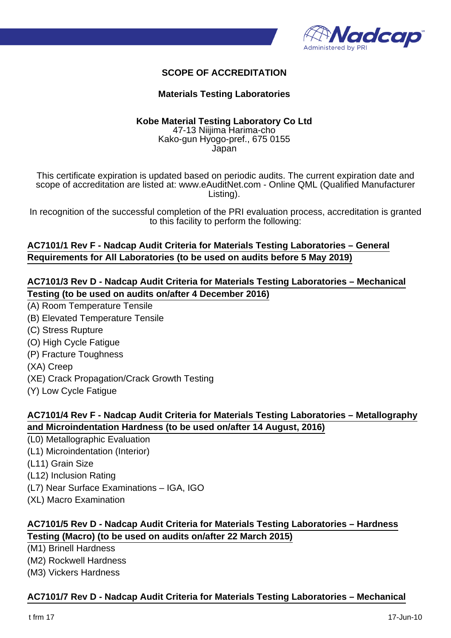

# **SCOPE OF ACCREDITATION**

#### **Materials Testing Laboratories**

# **Kobe Material Testing Laboratory Co Ltd**

47-13 Niijima Harima-cho Kako-gun Hyogo-pref., 675 0155 Japan

This certificate expiration is updated based on periodic audits. The current expiration date and scope of accreditation are listed at: www.eAuditNet.com - Online QML (Qualified Manufacturer Listing).

In recognition of the successful completion of the PRI evaluation process, accreditation is granted to this facility to perform the following:

### **AC7101/1 Rev F - Nadcap Audit Criteria for Materials Testing Laboratories – General Requirements for All Laboratories (to be used on audits before 5 May 2019)**

### **AC7101/3 Rev D - Nadcap Audit Criteria for Materials Testing Laboratories – Mechanical Testing (to be used on audits on/after 4 December 2016)**

- (A) Room Temperature Tensile
- (B) Elevated Temperature Tensile
- (C) Stress Rupture
- (O) High Cycle Fatigue
- (P) Fracture Toughness
- (XA) Creep
- (XE) Crack Propagation/Crack Growth Testing
- (Y) Low Cycle Fatigue

## **AC7101/4 Rev F - Nadcap Audit Criteria for Materials Testing Laboratories – Metallography and Microindentation Hardness (to be used on/after 14 August, 2016)**

- (L0) Metallographic Evaluation
- (L1) Microindentation (Interior)
- (L11) Grain Size
- (L12) Inclusion Rating
- (L7) Near Surface Examinations IGA, IGO
- (XL) Macro Examination

## **AC7101/5 Rev D - Nadcap Audit Criteria for Materials Testing Laboratories – Hardness Testing (Macro) (to be used on audits on/after 22 March 2015)**

(M1) Brinell Hardness

(M2) Rockwell Hardness

(M3) Vickers Hardness

#### **AC7101/7 Rev D - Nadcap Audit Criteria for Materials Testing Laboratories – Mechanical**